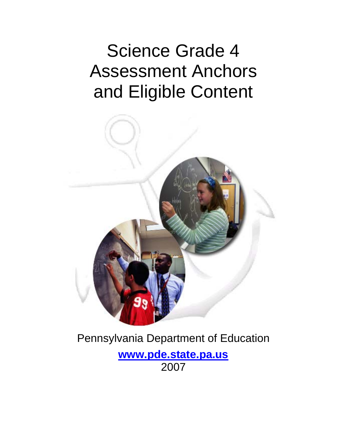# Science Grade 4 Assessment Anchors and Eligible Content



## Pennsylvania Department of Education

**www.pde.state.pa.us** 2007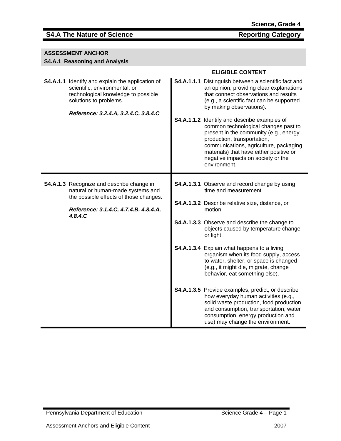## **S4.A The Nature of Science Reporting Category**

| ASSESSMENT ANCHOR |
|-------------------|
|-------------------|

## **S4.A.1 Reasoning and Analysis**

|  |                                                                                                                                                           | <b>ELIGIBLE CONTENT</b>                                                                                                                                                                                                                                                                                  |
|--|-----------------------------------------------------------------------------------------------------------------------------------------------------------|----------------------------------------------------------------------------------------------------------------------------------------------------------------------------------------------------------------------------------------------------------------------------------------------------------|
|  | <b>S4.A.1.1</b> Identify and explain the application of<br>scientific, environmental, or<br>technological knowledge to possible<br>solutions to problems. | S4.A.1.1.1 Distinguish between a scientific fact and<br>an opinion, providing clear explanations<br>that connect observations and results<br>(e.g., a scientific fact can be supported<br>by making observations).                                                                                       |
|  | Reference: 3.2.4.A, 3.2.4.C, 3.8.4.C                                                                                                                      | S4.A.1.1.2 Identify and describe examples of<br>common technological changes past to<br>present in the community (e.g., energy<br>production, transportation,<br>communications, agriculture, packaging<br>materials) that have either positive or<br>negative impacts on society or the<br>environment. |
|  | S4.A.1.3 Recognize and describe change in                                                                                                                 | S4.A.1.3.1 Observe and record change by using                                                                                                                                                                                                                                                            |
|  | natural or human-made systems and<br>the possible effects of those changes.<br>Reference: 3.1.4.C, 4.7.4.B, 4.8.4.A,<br>4.8.4.C                           | time and measurement.                                                                                                                                                                                                                                                                                    |
|  |                                                                                                                                                           | S4.A.1.3.2 Describe relative size, distance, or<br>motion.                                                                                                                                                                                                                                               |
|  |                                                                                                                                                           | <b>S4.A.1.3.3</b> Observe and describe the change to<br>objects caused by temperature change<br>or light.                                                                                                                                                                                                |
|  |                                                                                                                                                           | S4.A.1.3.4 Explain what happens to a living<br>organism when its food supply, access<br>to water, shelter, or space is changed<br>(e.g., it might die, migrate, change<br>behavior, eat something else).                                                                                                 |
|  |                                                                                                                                                           | S4.A.1.3.5 Provide examples, predict, or describe<br>how everyday human activities (e.g.,<br>solid waste production, food production<br>and consumption, transportation, water<br>consumption, energy production and<br>use) may change the environment.                                                 |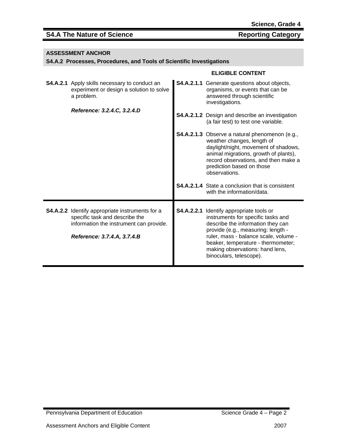## **S4.A The Nature of Science Reporting Category**

| <b>ASSESSMENT ANCHOR</b> |  |
|--------------------------|--|
|--------------------------|--|

## **S4.A.2 Processes, Procedures, and Tools of Scientific Investigations**

|                                                                                                                                                                    | <b>ELIGIBLE CONTENT</b>                                                                                                                                                                                                                                                                                |
|--------------------------------------------------------------------------------------------------------------------------------------------------------------------|--------------------------------------------------------------------------------------------------------------------------------------------------------------------------------------------------------------------------------------------------------------------------------------------------------|
| <b>S4.A.2.1</b> Apply skills necessary to conduct an<br>experiment or design a solution to solve<br>a problem.                                                     | S4.A.2.1.1 Generate questions about objects,<br>organisms, or events that can be<br>answered through scientific<br>investigations.                                                                                                                                                                     |
| Reference: 3.2.4.C, 3.2.4.D                                                                                                                                        | <b>S4.A.2.1.2</b> Design and describe an investigation<br>(a fair test) to test one variable.                                                                                                                                                                                                          |
|                                                                                                                                                                    | S4.A.2.1.3 Observe a natural phenomenon (e.g.,<br>weather changes, length of<br>daylight/night, movement of shadows,<br>animal migrations, growth of plants),<br>record observations, and then make a<br>prediction based on those<br>observations.                                                    |
|                                                                                                                                                                    | <b>S4.A.2.1.4</b> State a conclusion that is consistent<br>with the information/data.                                                                                                                                                                                                                  |
| <b>S4.A.2.2</b> Identify appropriate instruments for a<br>specific task and describe the<br>information the instrument can provide.<br>Reference: 3.7.4.A, 3.7.4.B | S4.A.2.2.1 Identify appropriate tools or<br>instruments for specific tasks and<br>describe the information they can<br>provide (e.g., measuring: length -<br>ruler, mass - balance scale, volume -<br>beaker, temperature - thermometer;<br>making observations: hand lens,<br>binoculars, telescope). |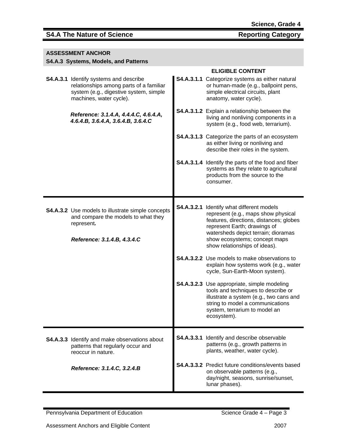## S4.A The Nature of Science Reporting Category

| <b>ASSESSMENT ANCHOR</b><br>S4.A.3 Systems, Models, and Patterns                                                                                       |            |                                                                                                                                                                                                                                                           |  |
|--------------------------------------------------------------------------------------------------------------------------------------------------------|------------|-----------------------------------------------------------------------------------------------------------------------------------------------------------------------------------------------------------------------------------------------------------|--|
| S4.A.3.1 Identify systems and describe<br>relationships among parts of a familiar<br>system (e.g., digestive system, simple<br>machines, water cycle). |            | <b>ELIGIBLE CONTENT</b><br>S4.A.3.1.1 Categorize systems as either natural<br>or human-made (e.g., ballpoint pens,<br>simple electrical circuits, plant<br>anatomy, water cycle).                                                                         |  |
| Reference: 3.1.4.A, 4.4.4.C, 4.6.4.A,<br>4.6.4.B, 3.6.4.A, 3.6.4.B, 3.6.4.C                                                                            |            | <b>S4.A.3.1.2</b> Explain a relationship between the<br>living and nonliving components in a<br>system (e.g., food web, terrarium).                                                                                                                       |  |
|                                                                                                                                                        |            | <b>S4.A.3.1.3</b> Categorize the parts of an ecosystem<br>as either living or nonliving and<br>describe their roles in the system.                                                                                                                        |  |
|                                                                                                                                                        |            | S4.A.3.1.4 Identify the parts of the food and fiber<br>systems as they relate to agricultural<br>products from the source to the<br>consumer.                                                                                                             |  |
| <b>S4.A.3.2</b> Use models to illustrate simple concepts<br>and compare the models to what they<br>represent.<br>Reference: 3.1.4.B, 4.3.4.C           | S4.A.3.2.1 | Identify what different models<br>represent (e.g., maps show physical<br>features, directions, distances; globes<br>represent Earth; drawings of<br>watersheds depict terrain; dioramas<br>show ecosystems; concept maps<br>show relationships of ideas). |  |
|                                                                                                                                                        |            | <b>S4.A.3.2.2</b> Use models to make observations to<br>explain how systems work (e.g., water<br>cycle, Sun-Earth-Moon system).                                                                                                                           |  |
|                                                                                                                                                        |            | <b>S4.A.3.2.3</b> Use appropriate, simple modeling<br>tools and techniques to describe or<br>illustrate a system (e.g., two cans and<br>string to model a communications<br>system, terrarium to model an<br>ecosystem).                                  |  |
| <b>S4.A.3.3</b> Identify and make observations about<br>patterns that regularly occur and<br>reoccur in nature.                                        | S4.A.3.3.1 | Identify and describe observable<br>patterns (e.g., growth patterns in<br>plants, weather, water cycle).                                                                                                                                                  |  |
| Reference: 3.1.4.C, 3.2.4.B                                                                                                                            |            | <b>S4.A.3.3.2</b> Predict future conditions/events based<br>on observable patterns (e.g.,<br>day/night, seasons, sunrise/sunset,<br>lunar phases).                                                                                                        |  |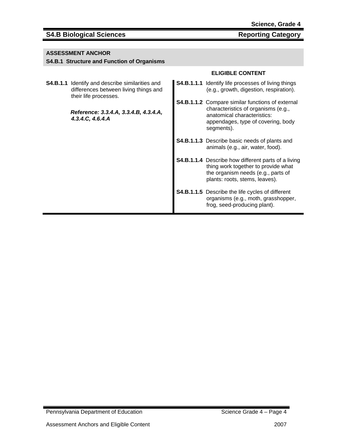## **S4.B Biological Sciences Reporting Category Reporting Category**

### **ASSESSMENT ANCHOR**

### **S4.B.1 Structure and Function of Organisms**

**S4.B.1.1** Identify and describe similarities and differences between living things and their life processes.

> *Reference: 3.3.4.A, 3.3.4.B, 4.3.4.A, 4.3.4.C, 4.6.4.A*

- **S4.B.1.1.1** Identify life processes of living things (e.g., growth, digestion, respiration).
- **S4.B.1.1.2** Compare similar functions of external characteristics of organisms (e.g., anatomical characteristics: appendages, type of covering, body segments).
- **S4.B.1.1.3** Describe basic needs of plants and animals (e.g., air, water, food).
- **S4.B.1.1.4** Describe how different parts of a living thing work together to provide what the organism needs (e.g., parts of plants: roots, stems, leaves).
- **S4.B.1.1.5** Describe the life cycles of different organisms (e.g., moth, grasshopper, frog, seed-producing plant).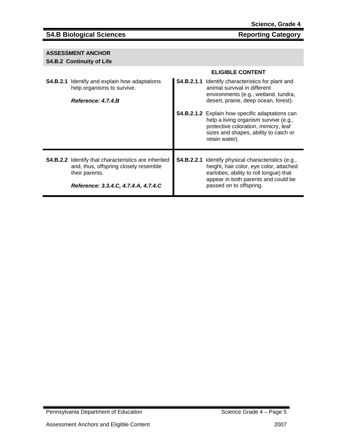## **S4.B Biological Sciences** Reporting Category

## **ASSESSMENT ANCHOR**

## **S4.B.2 Continuity of Life**

|                                                                                                                                                                | <b>ELIGIBLE CONTENT</b>                                                                                                                                                                                           |
|----------------------------------------------------------------------------------------------------------------------------------------------------------------|-------------------------------------------------------------------------------------------------------------------------------------------------------------------------------------------------------------------|
| <b>S4.B.2.1</b> Identify and explain how adaptations<br>help organisms to survive.<br>Reference: 4.7.4.B                                                       | S4.B.2.1.1 Identify characteristics for plant and<br>animal survival in different<br>environments (e.g., wetland, tundra,<br>desert, prairie, deep ocean, forest).                                                |
|                                                                                                                                                                | <b>S4.B.2.1.2</b> Explain how specific adaptations can<br>help a living organism survive (e.g.,<br>protective coloration, mimicry, leaf<br>sizes and shapes, ability to catch or<br>retain water).                |
| <b>S4.B.2.2</b> Identify that characteristics are inherited<br>and, thus, offspring closely resemble<br>their parents.<br>Reference: 3.3.4.C, 4.7.4.A, 4.7.4.C | <b>S4.B.2.2.1</b> Identify physical characteristics (e.g.,<br>height, hair color, eye color, attached<br>earlobes, ability to roll tongue) that<br>appear in both parents and could be<br>passed on to offspring. |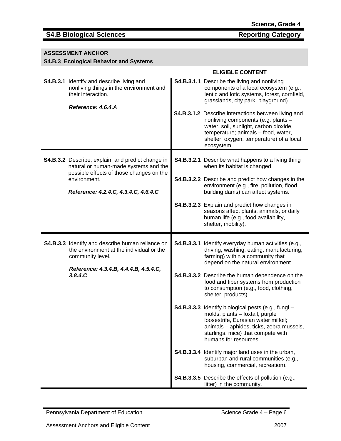## **S4.B Biological Sciences** Reporting Category

## **ASSESSMENT ANCHOR**

## **S4.B.3 Ecological Behavior and Systems**

|                                                                                                                                         | <b>ELIGIBLE CONTENT</b>                                                                                                                                                                                                                   |
|-----------------------------------------------------------------------------------------------------------------------------------------|-------------------------------------------------------------------------------------------------------------------------------------------------------------------------------------------------------------------------------------------|
| <b>S4.B.3.1</b> Identify and describe living and<br>nonliving things in the environment and<br>their interaction.<br>Reference: 4.6.4.A | <b>S4.B.3.1.1</b> Describe the living and nonliving<br>components of a local ecosystem (e.g.,<br>lentic and lotic systems, forest, cornfield,<br>grasslands, city park, playground).                                                      |
|                                                                                                                                         | S4.B.3.1.2 Describe interactions between living and<br>nonliving components (e.g. plants -<br>water, soil, sunlight, carbon dioxide,<br>temperature; animals - food, water,<br>shelter, oxygen, temperature) of a local<br>ecosystem.     |
| S4.B.3.2 Describe, explain, and predict change in<br>natural or human-made systems and the<br>possible effects of those changes on the  | <b>S4.B.3.2.1</b> Describe what happens to a living thing<br>when its habitat is changed.                                                                                                                                                 |
| environment.<br>Reference: 4.2.4.C, 4.3.4.C, 4.6.4.C                                                                                    | <b>S4.B.3.2.2</b> Describe and predict how changes in the<br>environment (e.g., fire, pollution, flood,<br>building dams) can affect systems.                                                                                             |
|                                                                                                                                         | S4.B.3.2.3 Explain and predict how changes in<br>seasons affect plants, animals, or daily<br>human life (e.g., food availability,<br>shelter, mobility).                                                                                  |
|                                                                                                                                         |                                                                                                                                                                                                                                           |
| S4.B.3.3 Identify and describe human reliance on<br>the environment at the individual or the<br>community level.                        | <b>S4.B.3.3.1</b> Identify everyday human activities (e.g.,<br>driving, washing, eating, manufacturing,<br>farming) within a community that                                                                                               |
| Reference: 4.3.4.B, 4.4.4.B, 4.5.4.C,<br>3.8.4.C                                                                                        | depend on the natural environment.<br><b>S4.B.3.3.2</b> Describe the human dependence on the<br>food and fiber systems from production<br>to consumption (e.g., food, clothing,<br>shelter, products).                                    |
|                                                                                                                                         | S4.B.3.3.3 Identify biological pests (e.g., fungi -<br>molds, plants - foxtail, purple<br>loosestrife, Eurasian water milfoil;<br>animals - aphides, ticks, zebra mussels,<br>starlings, mice) that compete with<br>humans for resources. |
|                                                                                                                                         | S4.B.3.3.4 Identify major land uses in the urban,<br>suburban and rural communities (e.g.,<br>housing, commercial, recreation).                                                                                                           |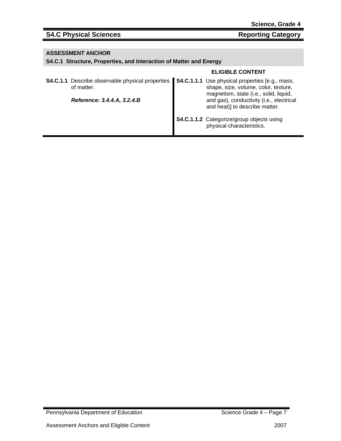## S4.C Physical Sciences Reporting Category

### **ASSESSMENT ANCHOR**

## **S4.C.1 Structure, Properties, and Interaction of Matter and Energy**

|                             |  | <b>ELIGIBLE CONTENT</b>                                                                                                                                                              |
|-----------------------------|--|--------------------------------------------------------------------------------------------------------------------------------------------------------------------------------------|
| of matter.                  |  | S4.C.1.1 Describe observable physical properties   S4.C.1.1.1 Use physical properties [e.g., mass,<br>shape, size, volume, color, texture.<br>magnetism, state (i.e., solid, liquid, |
| Reference: 3.4.4.A, 3.2.4.B |  | and gas), conductivity (i.e., electrical<br>and heat)] to describe matter.                                                                                                           |
|                             |  | S4.C.1.1.2 Categorize/group objects using<br>physical characteristics.                                                                                                               |

Pennsylvania Department of Education Science Grade 4 – Page 7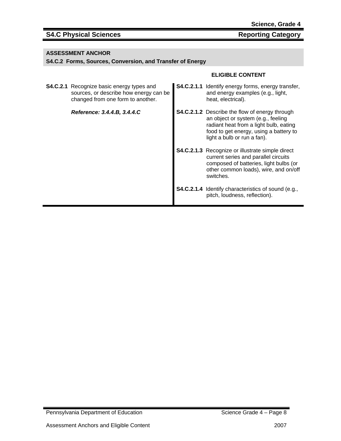## S4.C Physical Sciences Reporting Category

## **ASSESSMENT ANCHOR**

### **S4.C.2 Forms, Sources, Conversion, and Transfer of Energy**

| <b>S4.C.2.1</b> Recognize basic energy types and<br>sources, or describe how energy can be<br>changed from one form to another. | <b>S4.C.2.1.1</b> Identify energy forms, energy transfer,<br>and energy examples (e.g., light,<br>heat, electrical).                                                                                           |
|---------------------------------------------------------------------------------------------------------------------------------|----------------------------------------------------------------------------------------------------------------------------------------------------------------------------------------------------------------|
| Reference: 3.4.4.B, 3.4.4.C                                                                                                     | <b>S4.C.2.1.2</b> Describe the flow of energy through<br>an object or system (e.g., feeling<br>radiant heat from a light bulb, eating<br>food to get energy, using a battery to<br>light a bulb or run a fan). |
|                                                                                                                                 | <b>S4.C.2.1.3</b> Recognize or illustrate simple direct<br>current series and parallel circuits<br>composed of batteries, light bulbs (or<br>other common loads), wire, and on/off<br>switches.                |
|                                                                                                                                 | S4.C.2.1.4 Identify characteristics of sound (e.g.,<br>pitch, loudness, reflection).                                                                                                                           |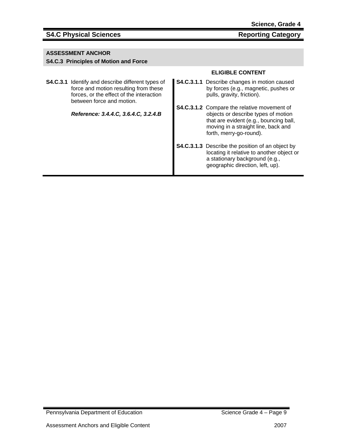## **S4.C Physical Sciences Reporting Category Reporting Category**

### **ASSESSMENT ANCHOR**

### **S4.C.3 Principles of Motion and Force**

**S4.C.3.1** Identify and describe different types of force and motion resulting from these forces, or the effect of the interaction between force and motion.

*Reference: 3.4.4.C, 3.6.4.C, 3.2.4.B* 

- **S4.C.3.1.1** Describe changes in motion caused by forces (e.g., magnetic, pushes or pulls, gravity, friction).
- **S4.C.3.1.2** Compare the relative movement of objects or describe types of motion that are evident (e.g., bouncing ball, moving in a straight line, back and forth, merry-go-round).
- **S4.C.3.1.3** Describe the position of an object by locating it relative to another object or a stationary background (e.g., geographic direction, left, up).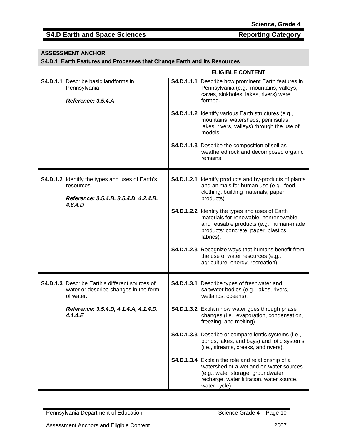## S4.D Earth and Space Sciences Reporting Category

## **ASSESSMENT ANCHOR**

## **S4.D.1 Earth Features and Processes that Change Earth and Its Resources**

|                                                                                                                          | <b>ELIGIBLE CONTENT</b>                                                                                                                                                                         |
|--------------------------------------------------------------------------------------------------------------------------|-------------------------------------------------------------------------------------------------------------------------------------------------------------------------------------------------|
| <b>S4.D.1.1</b> Describe basic landforms in<br>Pennsylvania.<br>Reference: 3.5.4.A                                       | <b>S4.D.1.1.1</b> Describe how prominent Earth features in<br>Pennsylvania (e.g., mountains, valleys,<br>caves, sinkholes, lakes, rivers) were<br>formed.                                       |
|                                                                                                                          | <b>S4.D.1.1.2</b> Identify various Earth structures (e.g.,<br>mountains, watersheds, peninsulas,<br>lakes, rivers, valleys) through the use of<br>models.                                       |
|                                                                                                                          | S4.D.1.1.3 Describe the composition of soil as<br>weathered rock and decomposed organic<br>remains.                                                                                             |
| <b>S4.D.1.2</b> Identify the types and uses of Earth's<br>resources.<br>Reference: 3.5.4.B, 3.5.4.D, 4.2.4.B,<br>4.8.4.D | <b>S4.D.1.2.1</b> Identify products and by-products of plants<br>and animals for human use (e.g., food,<br>clothing, building materials, paper<br>products).                                    |
|                                                                                                                          | S4.D.1.2.2 Identify the types and uses of Earth<br>materials for renewable, nonrenewable,<br>and reusable products (e.g., human-made<br>products: concrete, paper, plastics,<br>fabrics).       |
|                                                                                                                          | <b>S4.D.1.2.3</b> Recognize ways that humans benefit from<br>the use of water resources (e.g.,<br>agriculture, energy, recreation).                                                             |
| <b>S4.D.1.3</b> Describe Earth's different sources of<br>water or describe changes in the form<br>of water.              | S4.D.1.3.1 Describe types of freshwater and<br>saltwater bodies (e.g., lakes, rivers,<br>wetlands, oceans).                                                                                     |
| Reference: 3.5.4.D, 4.1.4.A, 4.1.4.D.<br>4.1.4.E                                                                         | S4.D.1.3.2 Explain how water goes through phase<br>changes (i.e., evaporation, condensation,<br>freezing, and melting).                                                                         |
|                                                                                                                          | S4.D.1.3.3 Describe or compare lentic systems (i.e.,<br>ponds, lakes, and bays) and lotic systems<br>(i.e., streams, creeks, and rivers).                                                       |
|                                                                                                                          | S4.D.1.3.4 Explain the role and relationship of a<br>watershed or a wetland on water sources<br>(e.g., water storage, groundwater<br>recharge, water filtration, water source,<br>water cycle). |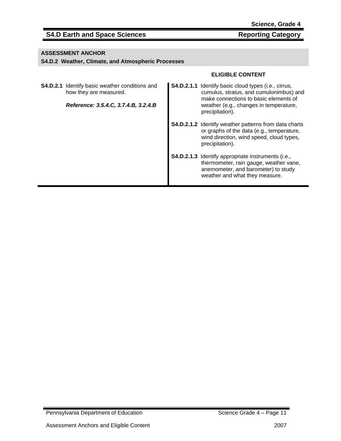## **S4.D Earth and Space Sciences** Reporting Category

## **ASSESSMENT ANCHOR**

### **S4.D.2 Weather, Climate, and Atmospheric Processes**

| <b>S4.D.2.1</b> Identify basic weather conditions and<br>how they are measured.<br>Reference: 3.5.4.C, 3.7.4.B, 3.2.4.B |  | <b>S4.D.2.1.1</b> Identify basic cloud types (i.e., cirrus,<br>cumulus, stratus, and cumulonimbus) and<br>make connections to basic elements of<br>weather (e.g., changes in temperature,<br>precipitation). |
|-------------------------------------------------------------------------------------------------------------------------|--|--------------------------------------------------------------------------------------------------------------------------------------------------------------------------------------------------------------|
|                                                                                                                         |  | <b>S4.D.2.1.2</b> Identify weather patterns from data charts<br>or graphs of the data (e.g., temperature,<br>wind direction, wind speed, cloud types,<br>precipitation).                                     |
|                                                                                                                         |  | <b>S4.D.2.1.3</b> Identify appropriate instruments (i.e.,<br>thermometer, rain gauge, weather vane,<br>anemometer, and barometer) to study<br>weather and what they measure.                                 |